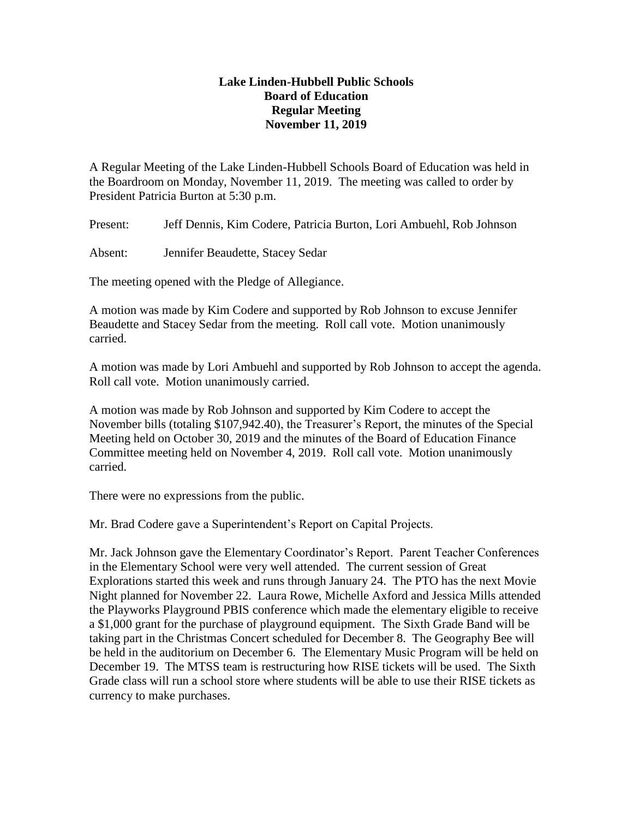## **Lake Linden-Hubbell Public Schools Board of Education Regular Meeting November 11, 2019**

A Regular Meeting of the Lake Linden-Hubbell Schools Board of Education was held in the Boardroom on Monday, November 11, 2019. The meeting was called to order by President Patricia Burton at 5:30 p.m.

Present: Jeff Dennis, Kim Codere, Patricia Burton, Lori Ambuehl, Rob Johnson

Absent: Jennifer Beaudette, Stacey Sedar

The meeting opened with the Pledge of Allegiance.

A motion was made by Kim Codere and supported by Rob Johnson to excuse Jennifer Beaudette and Stacey Sedar from the meeting. Roll call vote. Motion unanimously carried.

A motion was made by Lori Ambuehl and supported by Rob Johnson to accept the agenda. Roll call vote. Motion unanimously carried.

A motion was made by Rob Johnson and supported by Kim Codere to accept the November bills (totaling \$107,942.40), the Treasurer's Report, the minutes of the Special Meeting held on October 30, 2019 and the minutes of the Board of Education Finance Committee meeting held on November 4, 2019. Roll call vote. Motion unanimously carried.

There were no expressions from the public.

Mr. Brad Codere gave a Superintendent's Report on Capital Projects.

Mr. Jack Johnson gave the Elementary Coordinator's Report. Parent Teacher Conferences in the Elementary School were very well attended. The current session of Great Explorations started this week and runs through January 24. The PTO has the next Movie Night planned for November 22. Laura Rowe, Michelle Axford and Jessica Mills attended the Playworks Playground PBIS conference which made the elementary eligible to receive a \$1,000 grant for the purchase of playground equipment. The Sixth Grade Band will be taking part in the Christmas Concert scheduled for December 8. The Geography Bee will be held in the auditorium on December 6. The Elementary Music Program will be held on December 19. The MTSS team is restructuring how RISE tickets will be used. The Sixth Grade class will run a school store where students will be able to use their RISE tickets as currency to make purchases.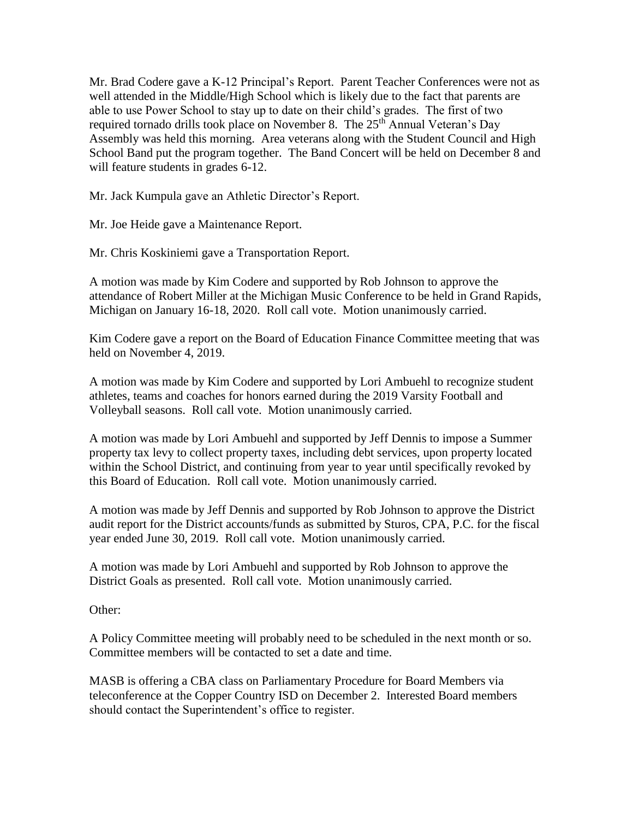Mr. Brad Codere gave a K-12 Principal's Report. Parent Teacher Conferences were not as well attended in the Middle/High School which is likely due to the fact that parents are able to use Power School to stay up to date on their child's grades. The first of two required tornado drills took place on November 8. The  $25<sup>th</sup>$  Annual Veteran's Day Assembly was held this morning. Area veterans along with the Student Council and High School Band put the program together. The Band Concert will be held on December 8 and will feature students in grades 6-12.

Mr. Jack Kumpula gave an Athletic Director's Report.

Mr. Joe Heide gave a Maintenance Report.

Mr. Chris Koskiniemi gave a Transportation Report.

A motion was made by Kim Codere and supported by Rob Johnson to approve the attendance of Robert Miller at the Michigan Music Conference to be held in Grand Rapids, Michigan on January 16-18, 2020. Roll call vote. Motion unanimously carried.

Kim Codere gave a report on the Board of Education Finance Committee meeting that was held on November 4, 2019.

A motion was made by Kim Codere and supported by Lori Ambuehl to recognize student athletes, teams and coaches for honors earned during the 2019 Varsity Football and Volleyball seasons. Roll call vote. Motion unanimously carried.

A motion was made by Lori Ambuehl and supported by Jeff Dennis to impose a Summer property tax levy to collect property taxes, including debt services, upon property located within the School District, and continuing from year to year until specifically revoked by this Board of Education. Roll call vote. Motion unanimously carried.

A motion was made by Jeff Dennis and supported by Rob Johnson to approve the District audit report for the District accounts/funds as submitted by Sturos, CPA, P.C. for the fiscal year ended June 30, 2019. Roll call vote. Motion unanimously carried.

A motion was made by Lori Ambuehl and supported by Rob Johnson to approve the District Goals as presented. Roll call vote. Motion unanimously carried.

Other:

A Policy Committee meeting will probably need to be scheduled in the next month or so. Committee members will be contacted to set a date and time.

MASB is offering a CBA class on Parliamentary Procedure for Board Members via teleconference at the Copper Country ISD on December 2. Interested Board members should contact the Superintendent's office to register.